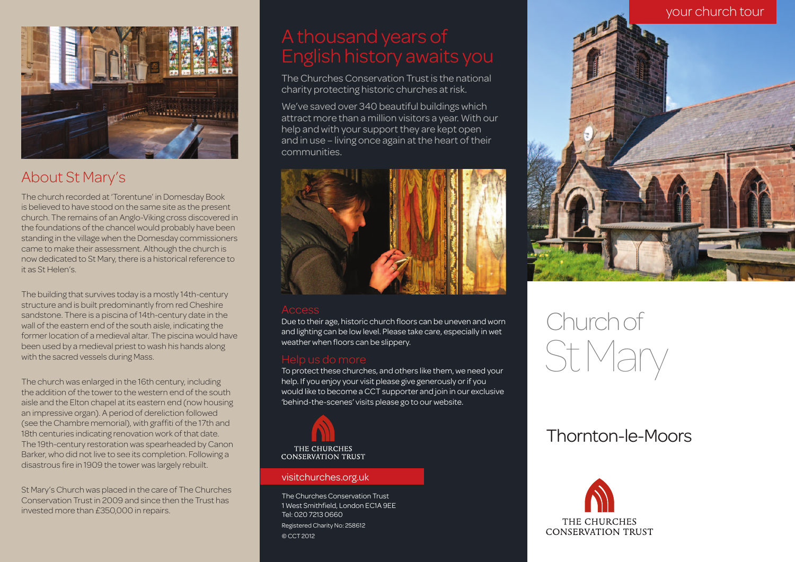your church tour



## About St Mary's

The church recorded at 'Torentune' in Domesday Book is believed to have stood on the same site as the present church. The remains of an Anglo-Viking cross discovered in the foundations of the chancel would probably have been standing in the village when the Domesday commissioners came to make their assessment. Although the church is now dedicated to St Mary, there is a historical reference to it as St Helen's.

The building that survives today is a mostly 14th-century structure and is built predominantly from red Cheshire sandstone. There is a piscina of 14th-century date in the wall of the eastern end of the south aisle, indicating the former location of a medieval altar. The piscina would have been used by a medieval priest to wash his hands along with the sacred vessels during Mass.

The church was enlarged in the 16th century, including the addition of the tower to the western end of the south aisle and the Elton chapel at its eastern end (now housing an impressive organ). A period of dereliction followed (see the Chambre memorial), with graffiti of the 17th and 18th centuries indicating renovation work of that date. The 19th-century restoration was spearheaded by Canon Barker, who did not live to see its completion. Following a disastrous fire in 1909 the tower was largely rebuilt.

St Mary's Church was placed in the care of The Churches Conservation Trust in 2009 and since then the Trust has invested more than £350,000 in repairs.

# English history awaits you

The Churches Conservation Trust is the national charity protecting historic churches at risk.

We've saved over 340 beautiful buildings which attract more than a million visitors a year. With our help and with your support they are kept open and in use – living once again at the heart of their communities.



Due to their age, historic church floors can be uneven and worn and lighting can be low level. Please take care, especially in wet weather when floors can be slippery.

To protect these churches, and others like them, we need your help. If you enjoy your visit please give generously or if you would like to become a CCT supporter and join in our exclusive 'behind-the-scenes' visits please go to our website.



### visitchurches.org.uk

The Churches Conservation Trust 1 West Smithfield, London EC1A 9EE Tel: 020 7213 0660 Registered Charity No: 258612 © CCT 2012



# Church of **St Mary**

# Thornton-le-Moors